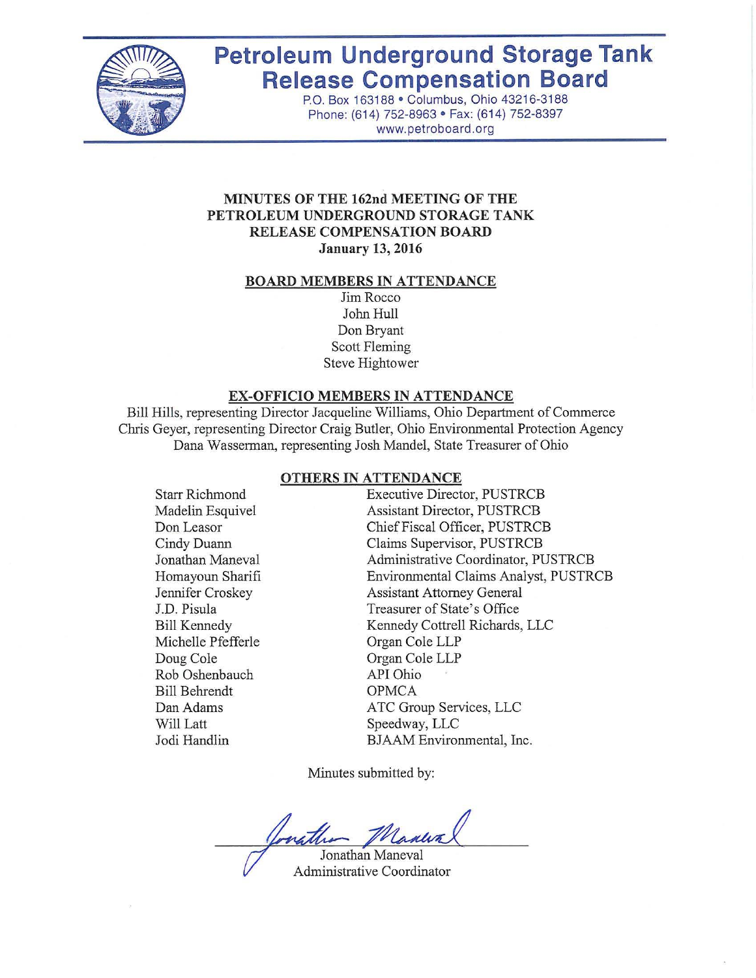

# **Petroleum Underground Storage Tank Release Compensation Board**

P.O. Box 163188 · Columbus, Ohio 43216-3188 Phone: (614) 752-8963 · Fax: (614) 752-8397 www.petroboard.org

#### **MINUTES OF THE 162nd MEETING OF THE PETROLEUM UNDERGROUND STORAGE TANK RELEASE COMPENSATION BOARD January 13, 2016**

#### **BOARD MEMBERS IN ATTENDANCE**

Jim Rocco John Hull Don Bryant Scott Fleming Steve Hightower

#### **EX-OFFICIO MEMBERS IN ATTENDANCE**

Bill Hills, representing Director Jacqueline Williams, Ohio Department of Commerce Chris Geyer, representing Director Craig Butler, Ohio Environmental Protection Agency Dana Wasserman, representing Josh Mandel, State Treasurer of Ohio

# **OTHERS IN ATTENDANCE**

Starr Richmond Madelin Esquivel Don Leasor Cindy Duann Jonathan Maneval Homayoun Sharifi Jennifer Croskey J.D. Pisula Bill Kennedy Michelle Pfefferle Doug Cole Rob Oshenbauch Bill Behrendt Dan Adams Will Latt Jodi Handlin

Executive Director, PUSTRCB Assistant Director, PUSTRCB Chief Fiscal Officer, PUSTRCB Claims Supervisor, PUSTRCB Administrative Coordinator, PUSTRCB Environmental Claims Analyst, PUSTRCB Assistant Attorney General Treasurer of State's Office Kennedy Cottrell Richards, LLC Organ Cole LLP Organ Cole LLP API Ohio OPMCA ATC Group Services, LLC Speedway, LLC BJAAM Environmental, Inc.

Minutes submitted by:

Jonathan Maneval

Administrative Coordinator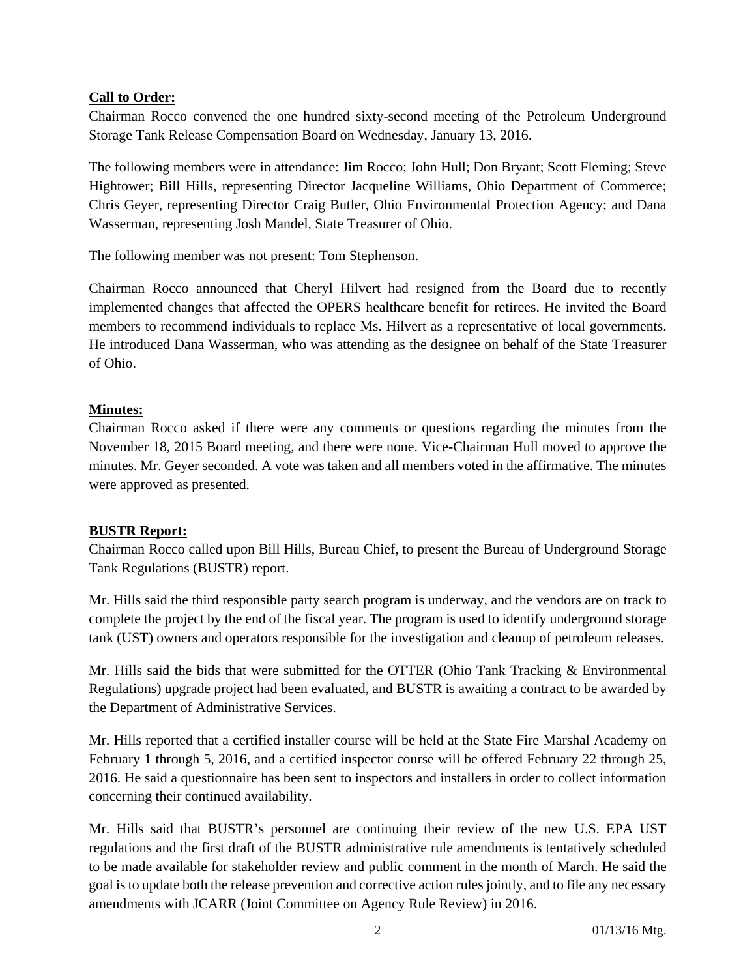# **Call to Order:**

Chairman Rocco convened the one hundred sixty-second meeting of the Petroleum Underground Storage Tank Release Compensation Board on Wednesday, January 13, 2016.

The following members were in attendance: Jim Rocco; John Hull; Don Bryant; Scott Fleming; Steve Hightower; Bill Hills, representing Director Jacqueline Williams, Ohio Department of Commerce; Chris Geyer, representing Director Craig Butler, Ohio Environmental Protection Agency; and Dana Wasserman, representing Josh Mandel, State Treasurer of Ohio.

The following member was not present: Tom Stephenson.

Chairman Rocco announced that Cheryl Hilvert had resigned from the Board due to recently implemented changes that affected the OPERS healthcare benefit for retirees. He invited the Board members to recommend individuals to replace Ms. Hilvert as a representative of local governments. He introduced Dana Wasserman, who was attending as the designee on behalf of the State Treasurer of Ohio.

# **Minutes:**

Chairman Rocco asked if there were any comments or questions regarding the minutes from the November 18, 2015 Board meeting, and there were none. Vice-Chairman Hull moved to approve the minutes. Mr. Geyer seconded. A vote was taken and all members voted in the affirmative. The minutes were approved as presented.

## **BUSTR Report:**

Chairman Rocco called upon Bill Hills, Bureau Chief, to present the Bureau of Underground Storage Tank Regulations (BUSTR) report.

Mr. Hills said the third responsible party search program is underway, and the vendors are on track to complete the project by the end of the fiscal year. The program is used to identify underground storage tank (UST) owners and operators responsible for the investigation and cleanup of petroleum releases.

Mr. Hills said the bids that were submitted for the OTTER (Ohio Tank Tracking & Environmental Regulations) upgrade project had been evaluated, and BUSTR is awaiting a contract to be awarded by the Department of Administrative Services.

Mr. Hills reported that a certified installer course will be held at the State Fire Marshal Academy on February 1 through 5, 2016, and a certified inspector course will be offered February 22 through 25, 2016. He said a questionnaire has been sent to inspectors and installers in order to collect information concerning their continued availability.

Mr. Hills said that BUSTR's personnel are continuing their review of the new U.S. EPA UST regulations and the first draft of the BUSTR administrative rule amendments is tentatively scheduled to be made available for stakeholder review and public comment in the month of March. He said the goal is to update both the release prevention and corrective action rules jointly, and to file any necessary amendments with JCARR (Joint Committee on Agency Rule Review) in 2016.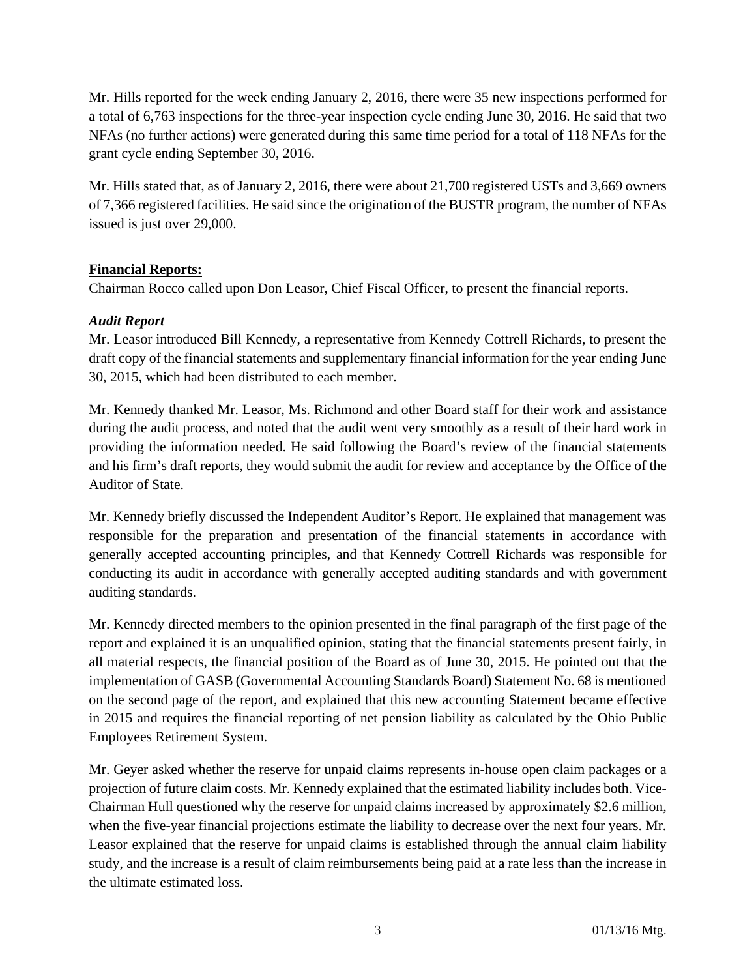Mr. Hills reported for the week ending January 2, 2016, there were 35 new inspections performed for a total of 6,763 inspections for the three-year inspection cycle ending June 30, 2016. He said that two NFAs (no further actions) were generated during this same time period for a total of 118 NFAs for the grant cycle ending September 30, 2016.

Mr. Hills stated that, as of January 2, 2016, there were about 21,700 registered USTs and 3,669 owners of 7,366 registered facilities. He said since the origination of the BUSTR program, the number of NFAs issued is just over 29,000.

# **Financial Reports:**

Chairman Rocco called upon Don Leasor, Chief Fiscal Officer, to present the financial reports.

# *Audit Report*

Mr. Leasor introduced Bill Kennedy, a representative from Kennedy Cottrell Richards, to present the draft copy of the financial statements and supplementary financial information for the year ending June 30, 2015, which had been distributed to each member.

Mr. Kennedy thanked Mr. Leasor, Ms. Richmond and other Board staff for their work and assistance during the audit process, and noted that the audit went very smoothly as a result of their hard work in providing the information needed. He said following the Board's review of the financial statements and his firm's draft reports, they would submit the audit for review and acceptance by the Office of the Auditor of State.

Mr. Kennedy briefly discussed the Independent Auditor's Report. He explained that management was responsible for the preparation and presentation of the financial statements in accordance with generally accepted accounting principles, and that Kennedy Cottrell Richards was responsible for conducting its audit in accordance with generally accepted auditing standards and with government auditing standards.

Mr. Kennedy directed members to the opinion presented in the final paragraph of the first page of the report and explained it is an unqualified opinion, stating that the financial statements present fairly, in all material respects, the financial position of the Board as of June 30, 2015. He pointed out that the implementation of GASB (Governmental Accounting Standards Board) Statement No. 68 is mentioned on the second page of the report, and explained that this new accounting Statement became effective in 2015 and requires the financial reporting of net pension liability as calculated by the Ohio Public Employees Retirement System.

Mr. Geyer asked whether the reserve for unpaid claims represents in-house open claim packages or a projection of future claim costs. Mr. Kennedy explained that the estimated liability includes both. Vice-Chairman Hull questioned why the reserve for unpaid claims increased by approximately \$2.6 million, when the five-year financial projections estimate the liability to decrease over the next four years. Mr. Leasor explained that the reserve for unpaid claims is established through the annual claim liability study, and the increase is a result of claim reimbursements being paid at a rate less than the increase in the ultimate estimated loss.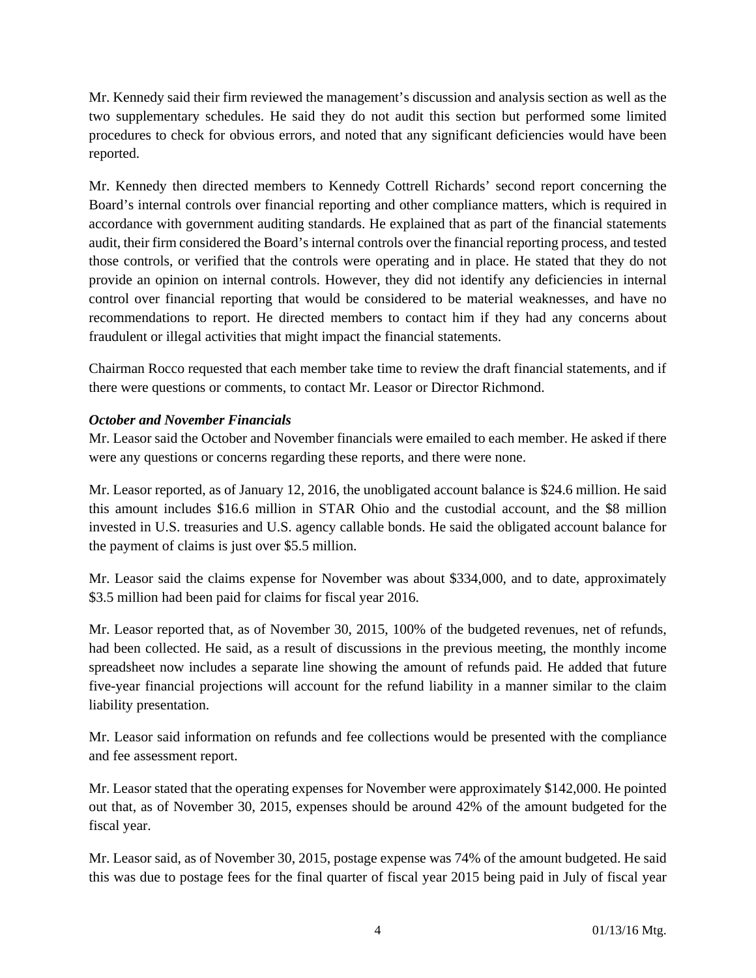Mr. Kennedy said their firm reviewed the management's discussion and analysis section as well as the two supplementary schedules. He said they do not audit this section but performed some limited procedures to check for obvious errors, and noted that any significant deficiencies would have been reported.

Mr. Kennedy then directed members to Kennedy Cottrell Richards' second report concerning the Board's internal controls over financial reporting and other compliance matters, which is required in accordance with government auditing standards. He explained that as part of the financial statements audit, their firm considered the Board's internal controls over the financial reporting process, and tested those controls, or verified that the controls were operating and in place. He stated that they do not provide an opinion on internal controls. However, they did not identify any deficiencies in internal control over financial reporting that would be considered to be material weaknesses, and have no recommendations to report. He directed members to contact him if they had any concerns about fraudulent or illegal activities that might impact the financial statements.

Chairman Rocco requested that each member take time to review the draft financial statements, and if there were questions or comments, to contact Mr. Leasor or Director Richmond.

# *October and November Financials*

Mr. Leasor said the October and November financials were emailed to each member. He asked if there were any questions or concerns regarding these reports, and there were none.

Mr. Leasor reported, as of January 12, 2016, the unobligated account balance is \$24.6 million. He said this amount includes \$16.6 million in STAR Ohio and the custodial account, and the \$8 million invested in U.S. treasuries and U.S. agency callable bonds. He said the obligated account balance for the payment of claims is just over \$5.5 million.

Mr. Leasor said the claims expense for November was about \$334,000, and to date, approximately \$3.5 million had been paid for claims for fiscal year 2016.

Mr. Leasor reported that, as of November 30, 2015, 100% of the budgeted revenues, net of refunds, had been collected. He said, as a result of discussions in the previous meeting, the monthly income spreadsheet now includes a separate line showing the amount of refunds paid. He added that future five-year financial projections will account for the refund liability in a manner similar to the claim liability presentation.

Mr. Leasor said information on refunds and fee collections would be presented with the compliance and fee assessment report.

Mr. Leasor stated that the operating expenses for November were approximately \$142,000. He pointed out that, as of November 30, 2015, expenses should be around 42% of the amount budgeted for the fiscal year.

Mr. Leasor said, as of November 30, 2015, postage expense was 74% of the amount budgeted. He said this was due to postage fees for the final quarter of fiscal year 2015 being paid in July of fiscal year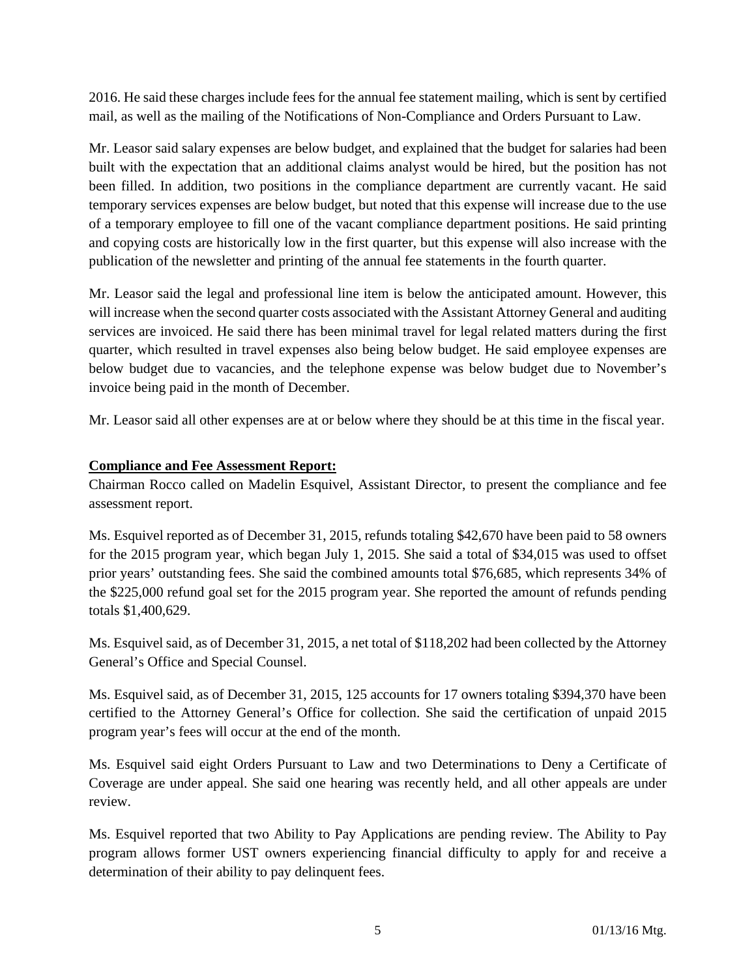2016. He said these charges include fees for the annual fee statement mailing, which is sent by certified mail, as well as the mailing of the Notifications of Non-Compliance and Orders Pursuant to Law.

Mr. Leasor said salary expenses are below budget, and explained that the budget for salaries had been built with the expectation that an additional claims analyst would be hired, but the position has not been filled. In addition, two positions in the compliance department are currently vacant. He said temporary services expenses are below budget, but noted that this expense will increase due to the use of a temporary employee to fill one of the vacant compliance department positions. He said printing and copying costs are historically low in the first quarter, but this expense will also increase with the publication of the newsletter and printing of the annual fee statements in the fourth quarter.

Mr. Leasor said the legal and professional line item is below the anticipated amount. However, this will increase when the second quarter costs associated with the Assistant Attorney General and auditing services are invoiced. He said there has been minimal travel for legal related matters during the first quarter, which resulted in travel expenses also being below budget. He said employee expenses are below budget due to vacancies, and the telephone expense was below budget due to November's invoice being paid in the month of December.

Mr. Leasor said all other expenses are at or below where they should be at this time in the fiscal year.

## **Compliance and Fee Assessment Report:**

Chairman Rocco called on Madelin Esquivel, Assistant Director, to present the compliance and fee assessment report.

Ms. Esquivel reported as of December 31, 2015, refunds totaling \$42,670 have been paid to 58 owners for the 2015 program year, which began July 1, 2015. She said a total of \$34,015 was used to offset prior years' outstanding fees. She said the combined amounts total \$76,685, which represents 34% of the \$225,000 refund goal set for the 2015 program year. She reported the amount of refunds pending totals \$1,400,629.

Ms. Esquivel said, as of December 31, 2015, a net total of \$118,202 had been collected by the Attorney General's Office and Special Counsel.

Ms. Esquivel said, as of December 31, 2015, 125 accounts for 17 owners totaling \$394,370 have been certified to the Attorney General's Office for collection. She said the certification of unpaid 2015 program year's fees will occur at the end of the month.

Ms. Esquivel said eight Orders Pursuant to Law and two Determinations to Deny a Certificate of Coverage are under appeal. She said one hearing was recently held, and all other appeals are under review.

Ms. Esquivel reported that two Ability to Pay Applications are pending review. The Ability to Pay program allows former UST owners experiencing financial difficulty to apply for and receive a determination of their ability to pay delinquent fees.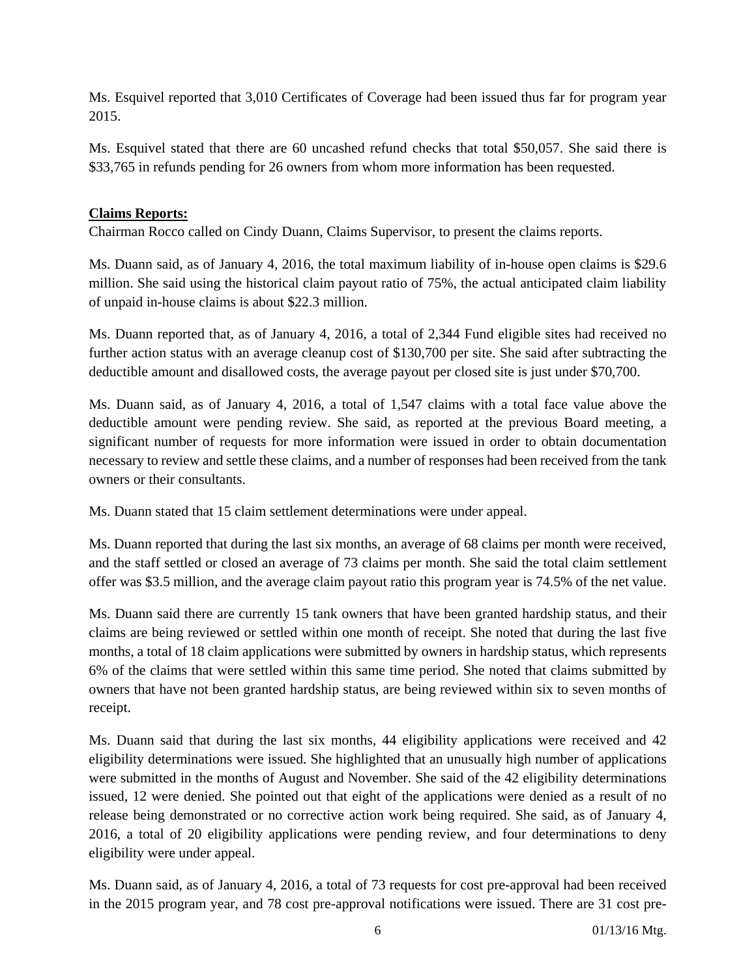Ms. Esquivel reported that 3,010 Certificates of Coverage had been issued thus far for program year 2015.

Ms. Esquivel stated that there are 60 uncashed refund checks that total \$50,057. She said there is \$33,765 in refunds pending for 26 owners from whom more information has been requested.

## **Claims Reports:**

Chairman Rocco called on Cindy Duann, Claims Supervisor, to present the claims reports.

Ms. Duann said, as of January 4, 2016, the total maximum liability of in-house open claims is \$29.6 million. She said using the historical claim payout ratio of 75%, the actual anticipated claim liability of unpaid in-house claims is about \$22.3 million.

Ms. Duann reported that, as of January 4, 2016, a total of 2,344 Fund eligible sites had received no further action status with an average cleanup cost of \$130,700 per site. She said after subtracting the deductible amount and disallowed costs, the average payout per closed site is just under \$70,700.

Ms. Duann said, as of January 4, 2016, a total of 1,547 claims with a total face value above the deductible amount were pending review. She said, as reported at the previous Board meeting, a significant number of requests for more information were issued in order to obtain documentation necessary to review and settle these claims, and a number of responses had been received from the tank owners or their consultants.

Ms. Duann stated that 15 claim settlement determinations were under appeal.

Ms. Duann reported that during the last six months, an average of 68 claims per month were received, and the staff settled or closed an average of 73 claims per month. She said the total claim settlement offer was \$3.5 million, and the average claim payout ratio this program year is 74.5% of the net value.

Ms. Duann said there are currently 15 tank owners that have been granted hardship status, and their claims are being reviewed or settled within one month of receipt. She noted that during the last five months, a total of 18 claim applications were submitted by owners in hardship status, which represents 6% of the claims that were settled within this same time period. She noted that claims submitted by owners that have not been granted hardship status, are being reviewed within six to seven months of receipt.

Ms. Duann said that during the last six months, 44 eligibility applications were received and 42 eligibility determinations were issued. She highlighted that an unusually high number of applications were submitted in the months of August and November. She said of the 42 eligibility determinations issued, 12 were denied. She pointed out that eight of the applications were denied as a result of no release being demonstrated or no corrective action work being required. She said, as of January 4, 2016, a total of 20 eligibility applications were pending review, and four determinations to deny eligibility were under appeal.

Ms. Duann said, as of January 4, 2016, a total of 73 requests for cost pre-approval had been received in the 2015 program year, and 78 cost pre-approval notifications were issued. There are 31 cost pre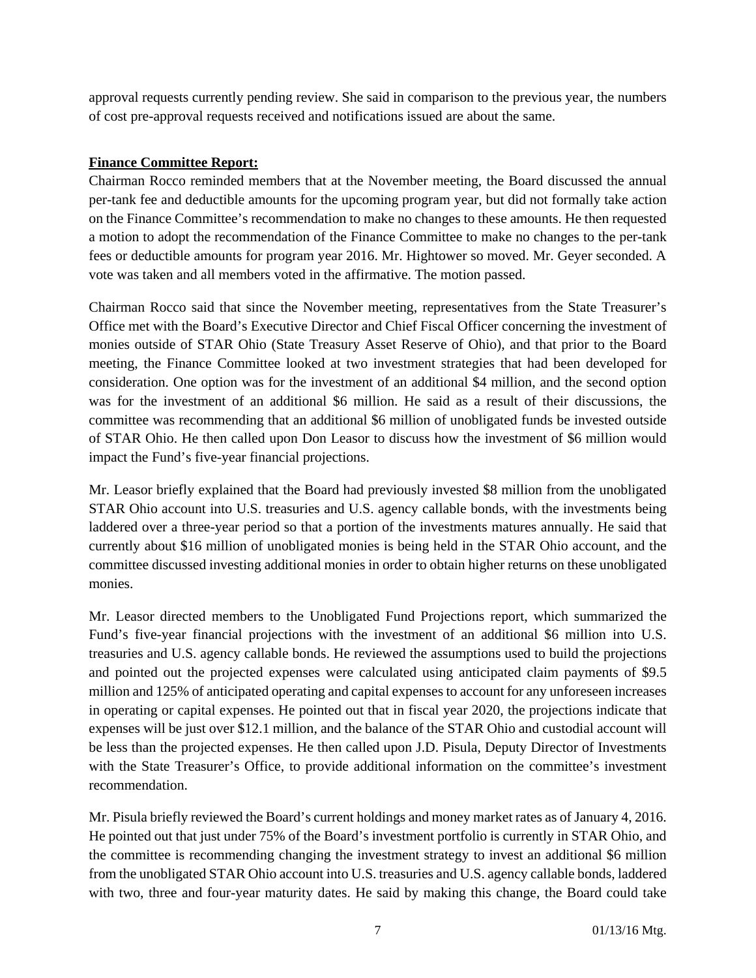approval requests currently pending review. She said in comparison to the previous year, the numbers of cost pre-approval requests received and notifications issued are about the same.

# **Finance Committee Report:**

Chairman Rocco reminded members that at the November meeting, the Board discussed the annual per-tank fee and deductible amounts for the upcoming program year, but did not formally take action on the Finance Committee's recommendation to make no changes to these amounts. He then requested a motion to adopt the recommendation of the Finance Committee to make no changes to the per-tank fees or deductible amounts for program year 2016. Mr. Hightower so moved. Mr. Geyer seconded. A vote was taken and all members voted in the affirmative. The motion passed.

Chairman Rocco said that since the November meeting, representatives from the State Treasurer's Office met with the Board's Executive Director and Chief Fiscal Officer concerning the investment of monies outside of STAR Ohio (State Treasury Asset Reserve of Ohio), and that prior to the Board meeting, the Finance Committee looked at two investment strategies that had been developed for consideration. One option was for the investment of an additional \$4 million, and the second option was for the investment of an additional \$6 million. He said as a result of their discussions, the committee was recommending that an additional \$6 million of unobligated funds be invested outside of STAR Ohio. He then called upon Don Leasor to discuss how the investment of \$6 million would impact the Fund's five-year financial projections.

Mr. Leasor briefly explained that the Board had previously invested \$8 million from the unobligated STAR Ohio account into U.S. treasuries and U.S. agency callable bonds, with the investments being laddered over a three-year period so that a portion of the investments matures annually. He said that currently about \$16 million of unobligated monies is being held in the STAR Ohio account, and the committee discussed investing additional monies in order to obtain higher returns on these unobligated monies.

Mr. Leasor directed members to the Unobligated Fund Projections report, which summarized the Fund's five-year financial projections with the investment of an additional \$6 million into U.S. treasuries and U.S. agency callable bonds. He reviewed the assumptions used to build the projections and pointed out the projected expenses were calculated using anticipated claim payments of \$9.5 million and 125% of anticipated operating and capital expenses to account for any unforeseen increases in operating or capital expenses. He pointed out that in fiscal year 2020, the projections indicate that expenses will be just over \$12.1 million, and the balance of the STAR Ohio and custodial account will be less than the projected expenses. He then called upon J.D. Pisula, Deputy Director of Investments with the State Treasurer's Office, to provide additional information on the committee's investment recommendation.

Mr. Pisula briefly reviewed the Board's current holdings and money market rates as of January 4, 2016. He pointed out that just under 75% of the Board's investment portfolio is currently in STAR Ohio, and the committee is recommending changing the investment strategy to invest an additional \$6 million from the unobligated STAR Ohio account into U.S. treasuries and U.S. agency callable bonds, laddered with two, three and four-year maturity dates. He said by making this change, the Board could take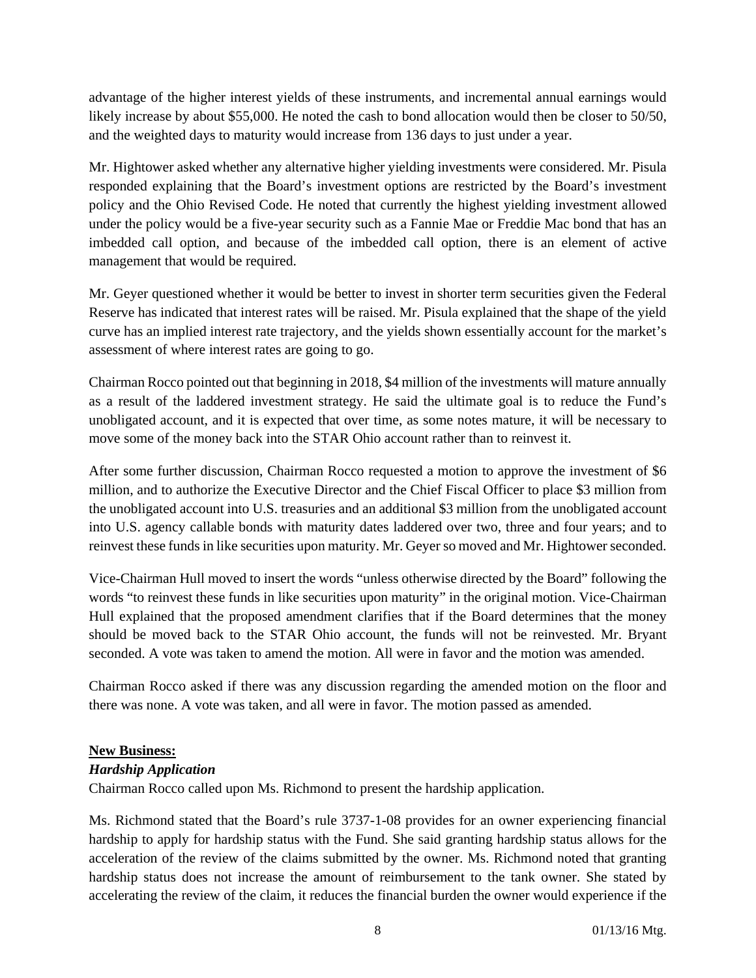advantage of the higher interest yields of these instruments, and incremental annual earnings would likely increase by about \$55,000. He noted the cash to bond allocation would then be closer to 50/50, and the weighted days to maturity would increase from 136 days to just under a year.

Mr. Hightower asked whether any alternative higher yielding investments were considered. Mr. Pisula responded explaining that the Board's investment options are restricted by the Board's investment policy and the Ohio Revised Code. He noted that currently the highest yielding investment allowed under the policy would be a five-year security such as a Fannie Mae or Freddie Mac bond that has an imbedded call option, and because of the imbedded call option, there is an element of active management that would be required.

Mr. Geyer questioned whether it would be better to invest in shorter term securities given the Federal Reserve has indicated that interest rates will be raised. Mr. Pisula explained that the shape of the yield curve has an implied interest rate trajectory, and the yields shown essentially account for the market's assessment of where interest rates are going to go.

Chairman Rocco pointed out that beginning in 2018, \$4 million of the investments will mature annually as a result of the laddered investment strategy. He said the ultimate goal is to reduce the Fund's unobligated account, and it is expected that over time, as some notes mature, it will be necessary to move some of the money back into the STAR Ohio account rather than to reinvest it.

After some further discussion, Chairman Rocco requested a motion to approve the investment of \$6 million, and to authorize the Executive Director and the Chief Fiscal Officer to place \$3 million from the unobligated account into U.S. treasuries and an additional \$3 million from the unobligated account into U.S. agency callable bonds with maturity dates laddered over two, three and four years; and to reinvest these funds in like securities upon maturity. Mr. Geyer so moved and Mr. Hightower seconded.

Vice-Chairman Hull moved to insert the words "unless otherwise directed by the Board" following the words "to reinvest these funds in like securities upon maturity" in the original motion. Vice-Chairman Hull explained that the proposed amendment clarifies that if the Board determines that the money should be moved back to the STAR Ohio account, the funds will not be reinvested. Mr. Bryant seconded. A vote was taken to amend the motion. All were in favor and the motion was amended.

Chairman Rocco asked if there was any discussion regarding the amended motion on the floor and there was none. A vote was taken, and all were in favor. The motion passed as amended.

## **New Business:**

## *Hardship Application*

Chairman Rocco called upon Ms. Richmond to present the hardship application.

Ms. Richmond stated that the Board's rule 3737-1-08 provides for an owner experiencing financial hardship to apply for hardship status with the Fund. She said granting hardship status allows for the acceleration of the review of the claims submitted by the owner. Ms. Richmond noted that granting hardship status does not increase the amount of reimbursement to the tank owner. She stated by accelerating the review of the claim, it reduces the financial burden the owner would experience if the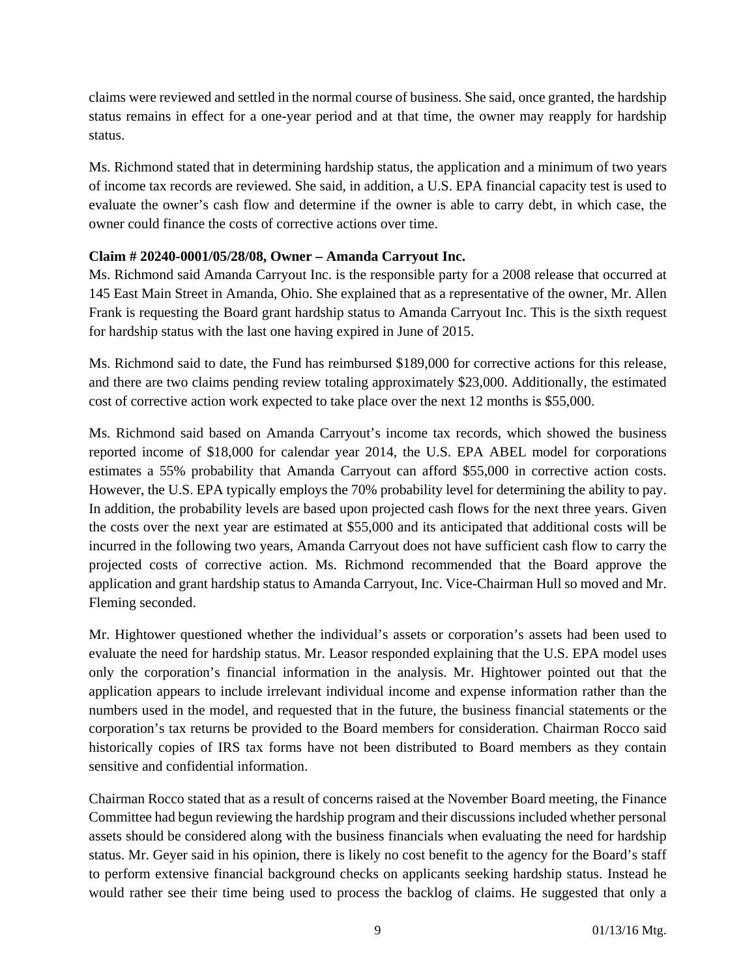claims were reviewed and settled in the normal course of business. She said, once granted, the hardship status remains in effect for a one-year period and at that time, the owner may reapply for hardship status.

Ms. Richmond stated that in determining hardship status, the application and a minimum of two years of income tax records are reviewed. She said, in addition, a U.S. EPA financial capacity test is used to evaluate the owner's cash flow and determine if the owner is able to carry debt, in which case, the owner could finance the costs of corrective actions over time.

# **Claim # 20240-0001/05/28/08, Owner – Amanda Carryout Inc.**

Ms. Richmond said Amanda Carryout Inc. is the responsible party for a 2008 release that occurred at 145 East Main Street in Amanda, Ohio. She explained that as a representative of the owner, Mr. Allen Frank is requesting the Board grant hardship status to Amanda Carryout Inc. This is the sixth request for hardship status with the last one having expired in June of 2015.

Ms. Richmond said to date, the Fund has reimbursed \$189,000 for corrective actions for this release, and there are two claims pending review totaling approximately \$23,000. Additionally, the estimated cost of corrective action work expected to take place over the next 12 months is \$55,000.

Ms. Richmond said based on Amanda Carryout's income tax records, which showed the business reported income of \$18,000 for calendar year 2014, the U.S. EPA ABEL model for corporations estimates a 55% probability that Amanda Carryout can afford \$55,000 in corrective action costs. However, the U.S. EPA typically employs the 70% probability level for determining the ability to pay. In addition, the probability levels are based upon projected cash flows for the next three years. Given the costs over the next year are estimated at \$55,000 and its anticipated that additional costs will be incurred in the following two years, Amanda Carryout does not have sufficient cash flow to carry the projected costs of corrective action. Ms. Richmond recommended that the Board approve the application and grant hardship status to Amanda Carryout, Inc. Vice-Chairman Hull so moved and Mr. Fleming seconded.

Mr. Hightower questioned whether the individual's assets or corporation's assets had been used to evaluate the need for hardship status. Mr. Leasor responded explaining that the U.S. EPA model uses only the corporation's financial information in the analysis. Mr. Hightower pointed out that the application appears to include irrelevant individual income and expense information rather than the numbers used in the model, and requested that in the future, the business financial statements or the corporation's tax returns be provided to the Board members for consideration. Chairman Rocco said historically copies of IRS tax forms have not been distributed to Board members as they contain sensitive and confidential information.

Chairman Rocco stated that as a result of concerns raised at the November Board meeting, the Finance Committee had begun reviewing the hardship program and their discussions included whether personal assets should be considered along with the business financials when evaluating the need for hardship status. Mr. Geyer said in his opinion, there is likely no cost benefit to the agency for the Board's staff to perform extensive financial background checks on applicants seeking hardship status. Instead he would rather see their time being used to process the backlog of claims. He suggested that only a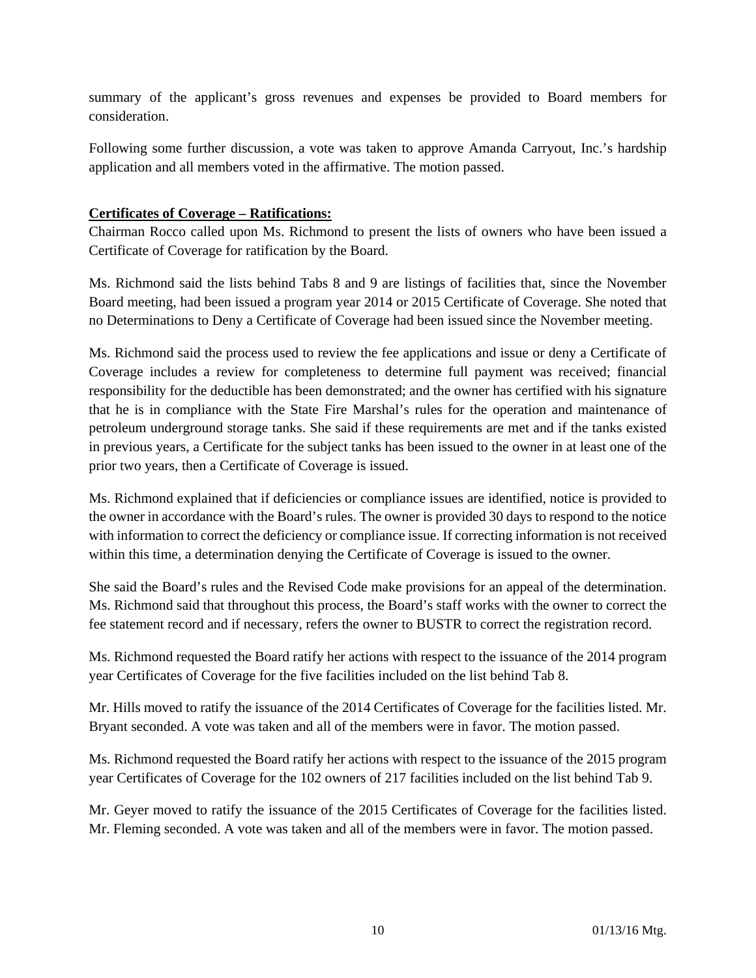summary of the applicant's gross revenues and expenses be provided to Board members for consideration.

Following some further discussion, a vote was taken to approve Amanda Carryout, Inc.'s hardship application and all members voted in the affirmative. The motion passed.

## **Certificates of Coverage – Ratifications:**

Chairman Rocco called upon Ms. Richmond to present the lists of owners who have been issued a Certificate of Coverage for ratification by the Board.

Ms. Richmond said the lists behind Tabs 8 and 9 are listings of facilities that, since the November Board meeting, had been issued a program year 2014 or 2015 Certificate of Coverage. She noted that no Determinations to Deny a Certificate of Coverage had been issued since the November meeting.

Ms. Richmond said the process used to review the fee applications and issue or deny a Certificate of Coverage includes a review for completeness to determine full payment was received; financial responsibility for the deductible has been demonstrated; and the owner has certified with his signature that he is in compliance with the State Fire Marshal's rules for the operation and maintenance of petroleum underground storage tanks. She said if these requirements are met and if the tanks existed in previous years, a Certificate for the subject tanks has been issued to the owner in at least one of the prior two years, then a Certificate of Coverage is issued.

Ms. Richmond explained that if deficiencies or compliance issues are identified, notice is provided to the owner in accordance with the Board's rules. The owner is provided 30 days to respond to the notice with information to correct the deficiency or compliance issue. If correcting information is not received within this time, a determination denying the Certificate of Coverage is issued to the owner.

She said the Board's rules and the Revised Code make provisions for an appeal of the determination. Ms. Richmond said that throughout this process, the Board's staff works with the owner to correct the fee statement record and if necessary, refers the owner to BUSTR to correct the registration record.

Ms. Richmond requested the Board ratify her actions with respect to the issuance of the 2014 program year Certificates of Coverage for the five facilities included on the list behind Tab 8.

Mr. Hills moved to ratify the issuance of the 2014 Certificates of Coverage for the facilities listed. Mr. Bryant seconded. A vote was taken and all of the members were in favor. The motion passed.

Ms. Richmond requested the Board ratify her actions with respect to the issuance of the 2015 program year Certificates of Coverage for the 102 owners of 217 facilities included on the list behind Tab 9.

Mr. Geyer moved to ratify the issuance of the 2015 Certificates of Coverage for the facilities listed. Mr. Fleming seconded. A vote was taken and all of the members were in favor. The motion passed.